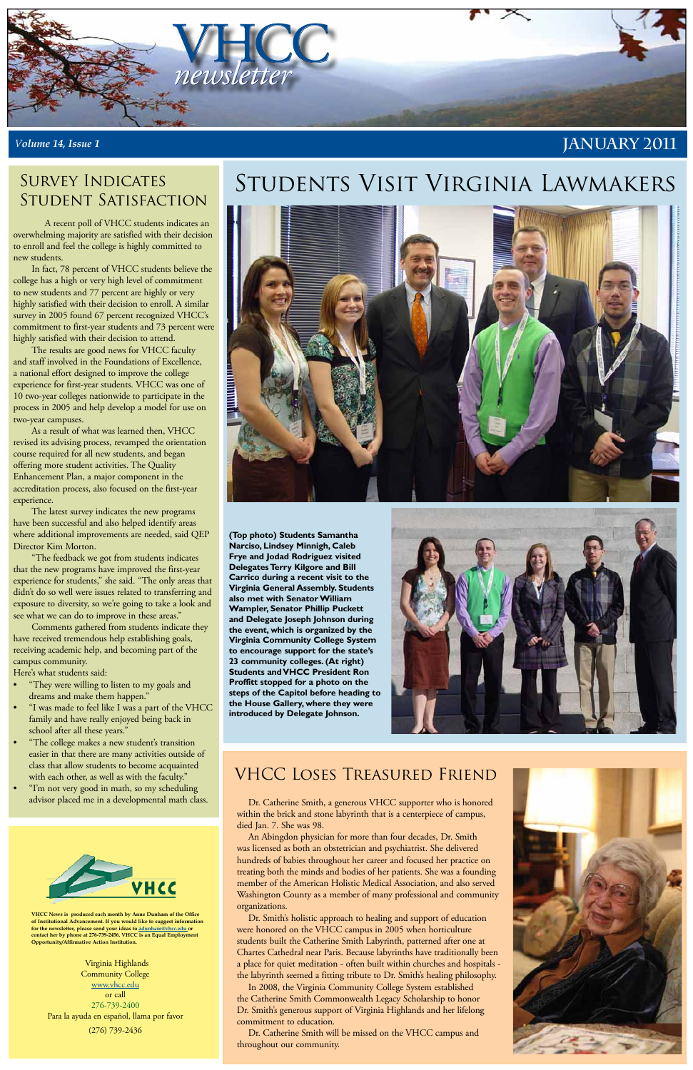

#### *Volume 14, Issue 1*

**VHCC News is produced each month by Anne Dunham of the Office of Institutional Advancement. If you would like to suggest information for the newsletter, please send your ideas to [adunham@vhcc.edu or](mailto:adunham@vhcc.edu) contact her by phone at 276-739-2456. VHCC is an Equal Employment Opportunity/Affirmative Action Institution.**

Virginia Highlands Community College [www.vhcc.edu](http://www.vhcc.edu) or call 276-739-2400 Para la ayuda en español, llama por favor (276) 739-2436

#### **January 2011**

**(Top photo) Students Samantha Narciso, Lindsey Minnigh, Caleb Frye and Jodad Rodriguez visited Delegates Terry Kilgore and Bill Carrico during a recent visit to the Virginia General Assembly. Students also met with Senator William Wampler, Senator Phillip Puckett and Delegate Joseph Johnson during the event, which is organized by the Virginia Community College System to encourage support for the state's 23 community colleges. (At right) Students and VHCC President Ron Proffitt stopped for a photo on the steps of the Capitol before heading to the House Gallery, where they were introduced by Delegate Johnson.** 



#### VHCC Loses Treasured Friend



## Students Visit Virginia Lawmakers



Dr. Catherine Smith, a generous VHCC supporter who is honored within the brick and stone labyrinth that is a centerpiece of campus, died Jan. 7. She was 98.

An Abingdon physician for more than four decades, Dr. Smith was licensed as both an obstetrician and psychiatrist. She delivered hundreds of babies throughout her career and focused her practice on treating both the minds and bodies of her patients. She was a founding member of the American Holistic Medical Association, and also served Washington County as a member of many professional and community organizations.

Dr. Smith's holistic approach to healing and support of education were honored on the VHCC campus in 2005 when horticulture students built the Catherine Smith Labyrinth, patterned after one at Chartes Cathedral near Paris. Because labyrinths have traditionally been a place for quiet meditation - often built within churches and hospitals the labyrinth seemed a fitting tribute to Dr. Smith's healing philosophy. In 2008, the Virginia Community College System established the Catherine Smith Commonwealth Legacy Scholarship to honor Dr. Smith's generous support of Virginia Highlands and her lifelong commitment to education.

- "They were willing to listen to my goals and dreams and make them happen."
- "I was made to feel like I was a part of the VHCC family and have really enjoyed being back in school after all these years."
- "The college makes a new student's transition easier in that there are many activities outside of class that allow students to become acquainted with each other, as well as with the faculty." I'm not very good in math, so my scheduling advisor placed me in a developmental math class.

### SURVEY INDICATES Student Satisfaction

Dr. Catherine Smith will be missed on the VHCC campus and throughout our community.



 A recent poll of VHCC students indicates an overwhelming majority are satisfied with their decision to enroll and feel the college is highly committed to new students.

In fact, 78 percent of VHCC students believe the college has a high or very high level of commitment to new students and 77 percent are highly or very highly satisfied with their decision to enroll. A similar survey in 2005 found 67 percent recognized VHCC's commitment to first-year students and 73 percent were highly satisfied with their decision to attend.

The results are good news for VHCC faculty and staff involved in the Foundations of Excellence, a national effort designed to improve the college experience for first-year students. VHCC was one of 10 two-year colleges nationwide to participate in the process in 2005 and help develop a model for use on two-year campuses.

As a result of what was learned then, VHCC revised its advising process, revamped the orientation course required for all new students, and began offering more student activities. The Quality Enhancement Plan, a major component in the accreditation process, also focused on the first-year experience.

The latest survey indicates the new programs have been successful and also helped identify areas where additional improvements are needed, said QEP Director Kim Morton.

"The feedback we got from students indicates that the new programs have improved the first-year experience for students," she said. "The only areas that didn't do so well were issues related to transferring and exposure to diversity, so we're going to take a look and see what we can do to improve in these areas."

Comments gathered from students indicate they have received tremendous help establishing goals, receiving academic help, and becoming part of the campus community.

Here's what students said: